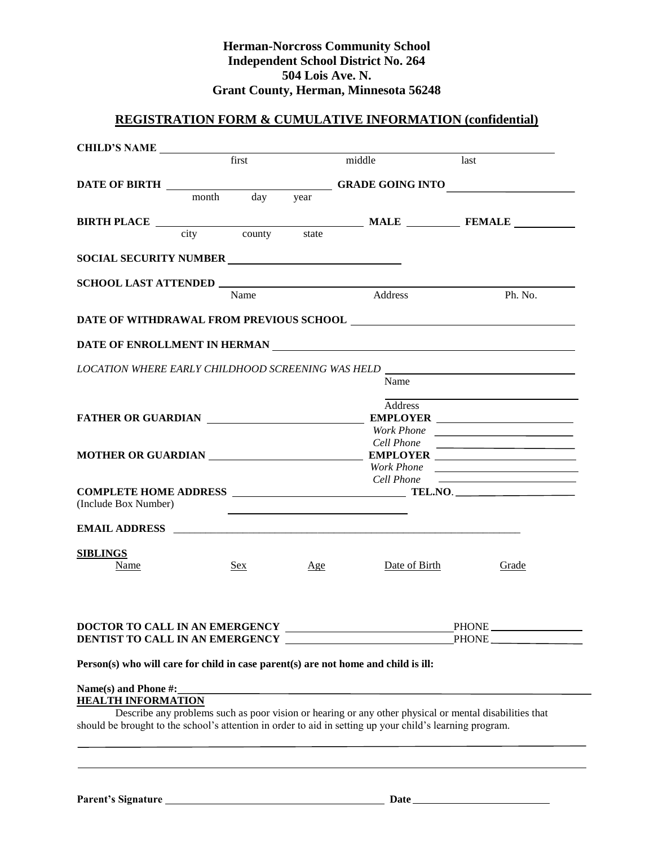## **Herman-Norcross Community School Independent School District No. 264 504 Lois Ave. N. Grant County, Herman, Minnesota 56248**

## **REGISTRATION FORM & CUMULATIVE INFORMATION (confidential)**

| <b>CHILD'S NAME</b>                               |                   |          |     |                                                                                                        |                                                                                                               |
|---------------------------------------------------|-------------------|----------|-----|--------------------------------------------------------------------------------------------------------|---------------------------------------------------------------------------------------------------------------|
|                                                   |                   | first    |     | middle                                                                                                 | last                                                                                                          |
|                                                   |                   |          |     | DATE OF BIRTH ________________________________GRADE GOING INTO __________________                      |                                                                                                               |
|                                                   | month             | day year |     |                                                                                                        |                                                                                                               |
|                                                   |                   |          |     |                                                                                                        | <b>BIRTH PLACE</b> city county state <b>MALE</b> FEMALE                                                       |
|                                                   | $\overline{city}$ |          |     |                                                                                                        |                                                                                                               |
|                                                   |                   |          |     |                                                                                                        |                                                                                                               |
|                                                   |                   |          |     |                                                                                                        |                                                                                                               |
|                                                   |                   | Name     |     | Address                                                                                                | Ph. No.                                                                                                       |
|                                                   |                   |          |     |                                                                                                        |                                                                                                               |
|                                                   |                   |          |     |                                                                                                        |                                                                                                               |
|                                                   |                   |          |     |                                                                                                        | LOCATION WHERE EARLY CHILDHOOD SCREENING WAS HELD ______________________________                              |
|                                                   |                   |          |     | Name                                                                                                   |                                                                                                               |
|                                                   |                   |          |     | Address                                                                                                |                                                                                                               |
|                                                   |                   |          |     |                                                                                                        | FATHER OR GUARDIAN EXECUTIVE EMPLOYER EMPLOYER                                                                |
|                                                   |                   |          |     |                                                                                                        |                                                                                                               |
|                                                   |                   |          |     | Cell Phone                                                                                             | <u> 1989 - Johann Barn, fransk politik formuler (d. 1989)</u>                                                 |
|                                                   |                   |          |     |                                                                                                        | MOTHER OR GUARDIAN EMPLOYER                                                                                   |
|                                                   |                   |          |     |                                                                                                        | Work Phone 2008 2012 12:00:00 Phone 2012 12:00:00 Phone 2012 12:00:00 Phone 2012 12:00:00 Phone 2012 12:00:00 |
|                                                   |                   |          |     |                                                                                                        |                                                                                                               |
| (Include Box Number)                              |                   |          |     |                                                                                                        |                                                                                                               |
|                                                   |                   |          |     |                                                                                                        |                                                                                                               |
| <b>SIBLINGS</b><br>Name                           |                   | Sex      | Age | Date of Birth                                                                                          | Grade                                                                                                         |
|                                                   |                   |          |     |                                                                                                        |                                                                                                               |
| DENTIST TO CALL IN AN EMERGENCY                   |                   |          |     |                                                                                                        |                                                                                                               |
|                                                   |                   |          |     | Person(s) who will care for child in case parent(s) are not home and child is ill:                     |                                                                                                               |
|                                                   |                   |          |     |                                                                                                        |                                                                                                               |
| Name(s) and Phone #:<br><b>HEALTH INFORMATION</b> |                   |          |     |                                                                                                        |                                                                                                               |
|                                                   |                   |          |     | Describe any problems such as poor vision or hearing or any other physical or mental disabilities that |                                                                                                               |
|                                                   |                   |          |     |                                                                                                        |                                                                                                               |